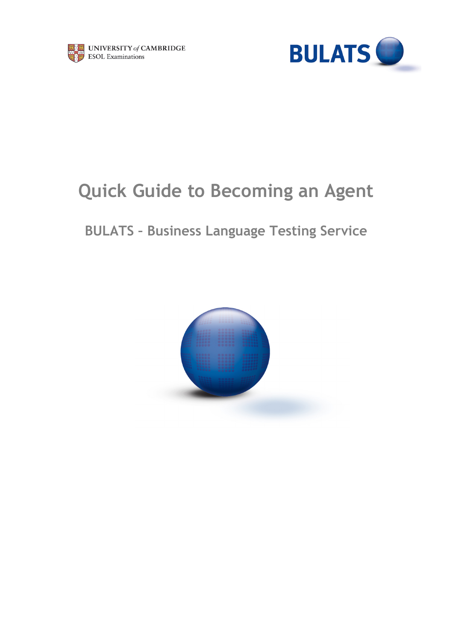



# Quick Guide to Becoming an Agent

## BULATS – Business Language Testing Service

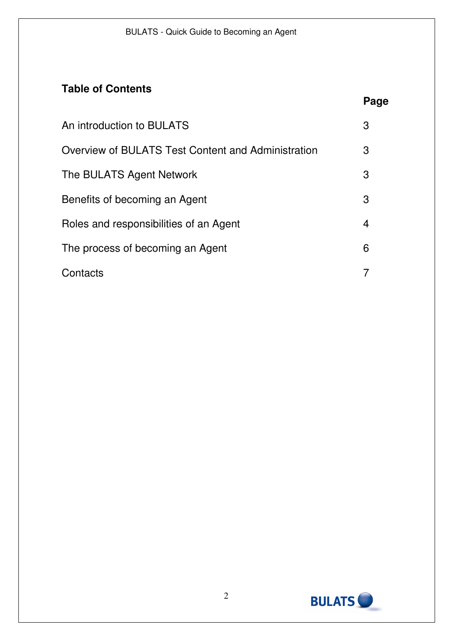## **Table of Contents**

| An introduction to BULATS                          |   |
|----------------------------------------------------|---|
| Overview of BULATS Test Content and Administration | 3 |
| The BULATS Agent Network                           | 3 |
| Benefits of becoming an Agent                      | 3 |
| Roles and responsibilities of an Agent             | 4 |
| The process of becoming an Agent                   | 6 |
| Contacts                                           |   |

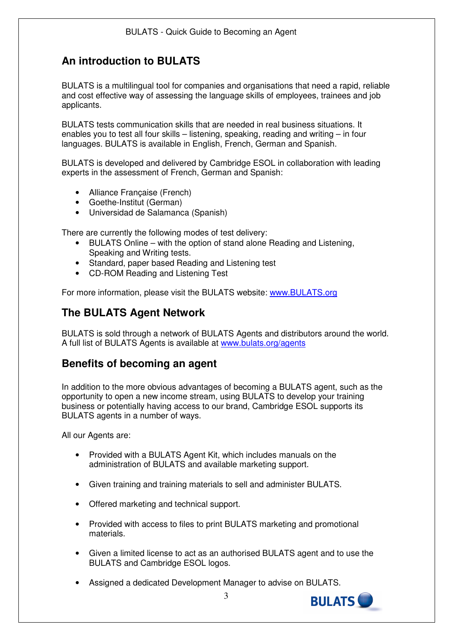## **An introduction to BULATS**

BULATS is a multilingual tool for companies and organisations that need a rapid, reliable and cost effective way of assessing the language skills of employees, trainees and job applicants.

BULATS tests communication skills that are needed in real business situations. It enables you to test all four skills – listening, speaking, reading and writing – in four languages. BULATS is available in English, French, German and Spanish.

BULATS is developed and delivered by Cambridge ESOL in collaboration with leading experts in the assessment of French, German and Spanish:

- Alliance Française (French)
- Goethe-Institut (German)
- Universidad de Salamanca (Spanish)

There are currently the following modes of test delivery:

- BULATS Online with the option of stand alone Reading and Listening, Speaking and Writing tests.
- Standard, paper based Reading and Listening test
- CD-ROM Reading and Listening Test

For more information, please visit the BULATS website: www.BULATS.org

## **The BULATS Agent Network**

BULATS is sold through a network of BULATS Agents and distributors around the world. A full list of BULATS Agents is available at www.bulats.org/agents

### **Benefits of becoming an agent**

In addition to the more obvious advantages of becoming a BULATS agent, such as the opportunity to open a new income stream, using BULATS to develop your training business or potentially having access to our brand, Cambridge ESOL supports its BULATS agents in a number of ways.

All our Agents are:

- Provided with a BULATS Agent Kit, which includes manuals on the administration of BULATS and available marketing support.
- Given training and training materials to sell and administer BULATS.
- Offered marketing and technical support.
- Provided with access to files to print BULATS marketing and promotional materials.
- Given a limited license to act as an authorised BULATS agent and to use the BULATS and Cambridge ESOL logos.
- Assigned a dedicated Development Manager to advise on BULATS.

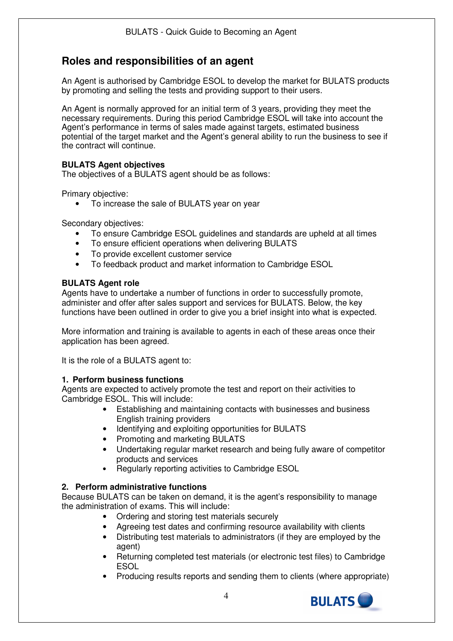## **Roles and responsibilities of an agent**

An Agent is authorised by Cambridge ESOL to develop the market for BULATS products by promoting and selling the tests and providing support to their users.

An Agent is normally approved for an initial term of 3 years, providing they meet the necessary requirements. During this period Cambridge ESOL will take into account the Agent's performance in terms of sales made against targets, estimated business potential of the target market and the Agent's general ability to run the business to see if the contract will continue.

#### **BULATS Agent objectives**

The objectives of a BULATS agent should be as follows:

Primary objective:

• To increase the sale of BULATS year on year

Secondary objectives:

- To ensure Cambridge ESOL guidelines and standards are upheld at all times
- To ensure efficient operations when delivering BULATS
- To provide excellent customer service
- To feedback product and market information to Cambridge ESOL

#### **BULATS Agent role**

Agents have to undertake a number of functions in order to successfully promote, administer and offer after sales support and services for BULATS. Below, the key functions have been outlined in order to give you a brief insight into what is expected.

More information and training is available to agents in each of these areas once their application has been agreed.

It is the role of a BULATS agent to:

#### **1. Perform business functions**

Agents are expected to actively promote the test and report on their activities to Cambridge ESOL. This will include:

- Establishing and maintaining contacts with businesses and business English training providers
- Identifying and exploiting opportunities for BULATS
- Promoting and marketing BULATS
- Undertaking regular market research and being fully aware of competitor products and services
- Regularly reporting activities to Cambridge ESOL

#### **2. Perform administrative functions**

Because BULATS can be taken on demand, it is the agent's responsibility to manage the administration of exams. This will include:

- Ordering and storing test materials securely
- Agreeing test dates and confirming resource availability with clients
- Distributing test materials to administrators (if they are employed by the agent)
- Returning completed test materials (or electronic test files) to Cambridge **ESOL**
- Producing results reports and sending them to clients (where appropriate)

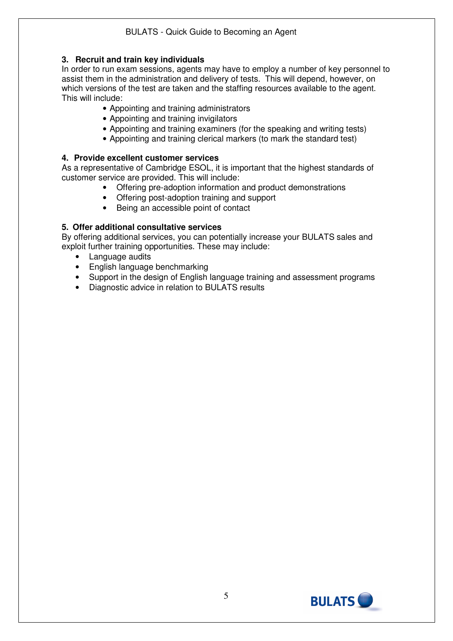#### **3. Recruit and train key individuals**

In order to run exam sessions, agents may have to employ a number of key personnel to assist them in the administration and delivery of tests. This will depend, however, on which versions of the test are taken and the staffing resources available to the agent. This will include:

- Appointing and training administrators
- Appointing and training invigilators
- Appointing and training examiners (for the speaking and writing tests)
- Appointing and training clerical markers (to mark the standard test)

#### **4. Provide excellent customer services**

As a representative of Cambridge ESOL, it is important that the highest standards of customer service are provided. This will include:

- Offering pre-adoption information and product demonstrations
- Offering post-adoption training and support
- Being an accessible point of contact

#### **5. Offer additional consultative services**

By offering additional services, you can potentially increase your BULATS sales and exploit further training opportunities. These may include:

- Language audits
- English language benchmarking
- Support in the design of English language training and assessment programs
- Diagnostic advice in relation to BULATS results

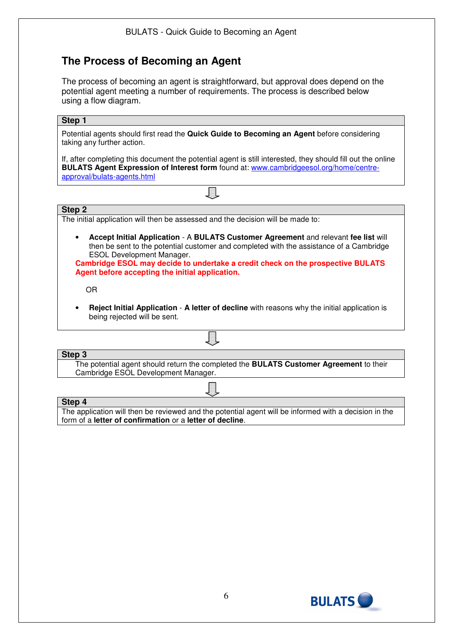## **The Process of Becoming an Agent**

The process of becoming an agent is straightforward, but approval does depend on the potential agent meeting a number of requirements. The process is described below using a flow diagram.

**Step 1** 

Potential agents should first read the **Quick Guide to Becoming an Agent** before considering taking any further action.

If, after completing this document the potential agent is still interested, they should fill out the online **BULATS Agent Expression of Interest form** found at: www.cambridgeesol.org/home/centreapproval/bulats-agents.html

#### **Step 2**

The initial application will then be assessed and the decision will be made to:

• **Accept Initial Application** - A **BULATS Customer Agreement** and relevant **fee list** will then be sent to the potential customer and completed with the assistance of a Cambridge ESOL Development Manager.

**Cambridge ESOL may decide to undertake a credit check on the prospective BULATS Agent before accepting the initial application.** 

OR

• **Reject Initial Application** - **A letter of decline** with reasons why the initial application is being rejected will be sent.

#### **Step 3**

The potential agent should return the completed the **BULATS Customer Agreement** to their Cambridge ESOL Development Manager.

#### **Step 4**

The application will then be reviewed and the potential agent will be informed with a decision in the form of a **letter of confirmation** or a **letter of decline**.